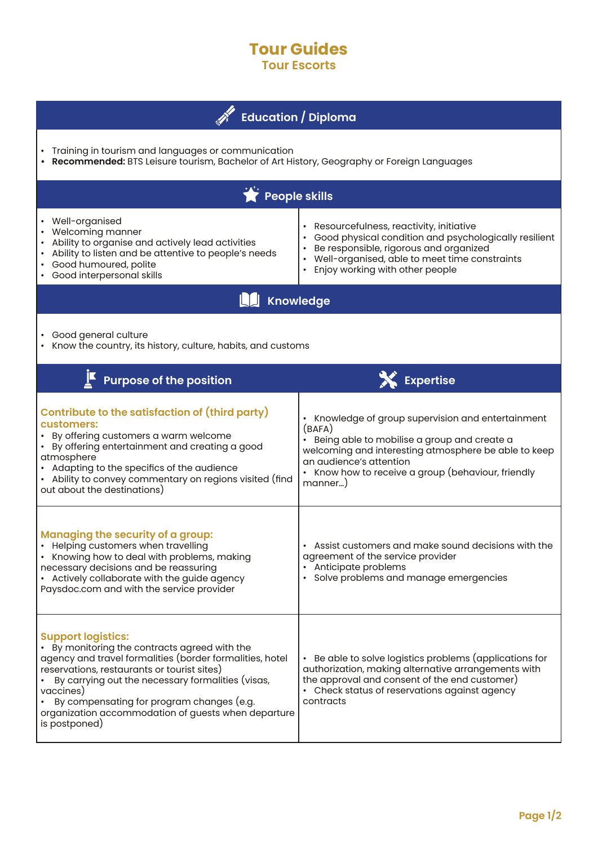## **Tour Guides Tour Escorts**

| <b>Education</b> / Diploma                                                                                                                                                                                                                                                                                                                                                   |                                                                                                                                                                                                                                                                   |
|------------------------------------------------------------------------------------------------------------------------------------------------------------------------------------------------------------------------------------------------------------------------------------------------------------------------------------------------------------------------------|-------------------------------------------------------------------------------------------------------------------------------------------------------------------------------------------------------------------------------------------------------------------|
| Training in tourism and languages or communication<br>Recommended: BTS Leisure tourism, Bachelor of Art History, Geography or Foreign Languages                                                                                                                                                                                                                              |                                                                                                                                                                                                                                                                   |
| People skills                                                                                                                                                                                                                                                                                                                                                                |                                                                                                                                                                                                                                                                   |
| Well-organised<br>Welcoming manner<br>Ability to organise and actively lead activities<br>Ability to listen and be attentive to people's needs<br>Good humoured, polite<br>Good interpersonal skills                                                                                                                                                                         | • Resourcefulness, reactivity, initiative<br>Good physical condition and psychologically resilient<br>Be responsible, rigorous and organized<br>• Well-organised, able to meet time constraints<br>• Enjoy working with other people                              |
| <b>Knowledge</b>                                                                                                                                                                                                                                                                                                                                                             |                                                                                                                                                                                                                                                                   |
| • Good general culture<br>Know the country, its history, culture, habits, and customs                                                                                                                                                                                                                                                                                        |                                                                                                                                                                                                                                                                   |
| <b>Purpose of the position</b>                                                                                                                                                                                                                                                                                                                                               | X Expertise                                                                                                                                                                                                                                                       |
| <b>Contribute to the satisfaction of (third party)</b><br>customers:<br>• By offering customers a warm welcome<br>• By offering entertainment and creating a good<br>atmosphere<br>• Adapting to the specifics of the audience<br>• Ability to convey commentary on regions visited (find<br>out about the destinations)                                                     | • Knowledge of group supervision and entertainment<br>(BAFA)<br>• Being able to mobilise a group and create a<br>welcoming and interesting atmosphere be able to keep<br>an audience's attention<br>• Know how to receive a group (behaviour, friendly<br>manner) |
| <b>Managing the security of a group:</b><br>Helping customers when travelling<br>• Knowing how to deal with problems, making<br>necessary decisions and be reassuring<br>• Actively collaborate with the guide agency<br>Paysdoc.com and with the service provider                                                                                                           | Assist customers and make sound decisions with the<br>agreement of the service provider<br>• Anticipate problems<br>· Solve problems and manage emergencies                                                                                                       |
| <b>Support logistics:</b><br>• By monitoring the contracts agreed with the<br>agency and travel formalities (border formalities, hotel<br>reservations, restaurants or tourist sites)<br>By carrying out the necessary formalities (visas,<br>vaccines)<br>By compensating for program changes (e.g.<br>organization accommodation of guests when departure<br>is postponed) | • Be able to solve logistics problems (applications for<br>authorization, making alternative arrangements with<br>the approval and consent of the end customer)<br>• Check status of reservations against agency<br>contracts                                     |